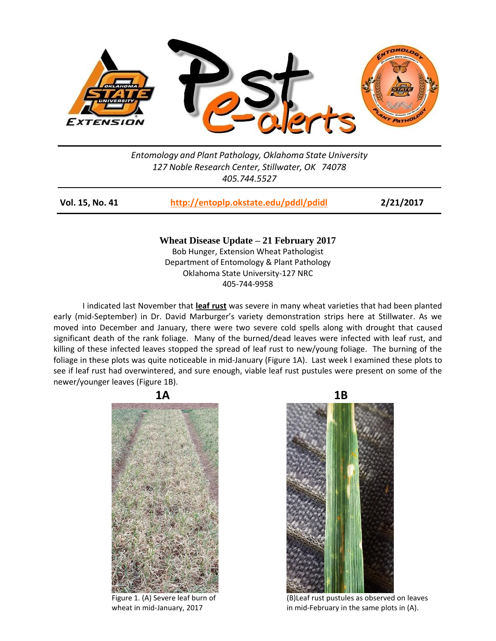

## *Entomology and Plant Pathology, Oklahoma State University 127 Noble Research Center, Stillwater, OK 74078 405.744.5527*

| Vol. 15, No. 41 | http://entoplp.okstate.edu/pddl/pdidl | 2/21/2017 |
|-----------------|---------------------------------------|-----------|
|                 |                                       |           |

**Wheat Disease Update – 21 February 2017** Bob Hunger, Extension Wheat Pathologist Department of Entomology & Plant Pathology Oklahoma State University-127 NRC 405-744-9958

I indicated last November that **leaf rust** was severe in many wheat varieties that had been planted early (mid-September) in Dr. David Marburger's variety demonstration strips here at Stillwater. As we moved into December and January, there were two severe cold spells along with drought that caused significant death of the rank foliage. Many of the burned/dead leaves were infected with leaf rust, and killing of these infected leaves stopped the spread of leaf rust to new/young foliage. The burning of the foliage in these plots was quite noticeable in mid-January (Figure 1A). Last week I examined these plots to see if leaf rust had overwintered, and sure enough, viable leaf rust pustules were present on some of the newer/younger leaves (Figure 1B).





Figure 1. (A) Severe leaf burn of (B)Leaf rust pustules as observed on leaves wheat in mid-January, 2017 **in mid-February in the same plots in (A)**.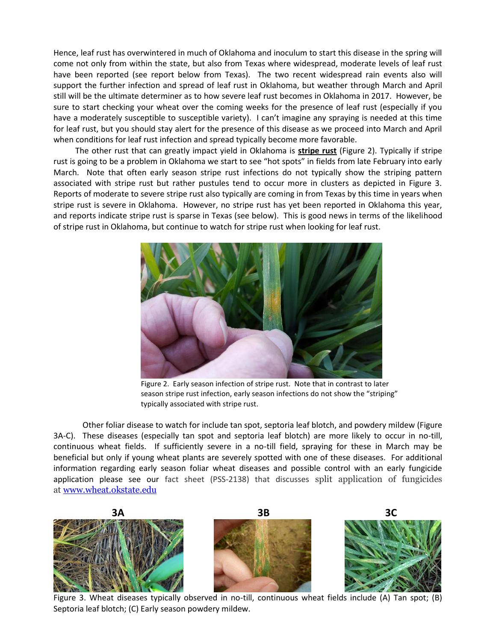Hence, leaf rust has overwintered in much of Oklahoma and inoculum to start this disease in the spring will come not only from within the state, but also from Texas where widespread, moderate levels of leaf rust have been reported (see report below from Texas). The two recent widespread rain events also will support the further infection and spread of leaf rust in Oklahoma, but weather through March and April still will be the ultimate determiner as to how severe leaf rust becomes in Oklahoma in 2017. However, be sure to start checking your wheat over the coming weeks for the presence of leaf rust (especially if you have a moderately susceptible to susceptible variety). I can't imagine any spraying is needed at this time for leaf rust, but you should stay alert for the presence of this disease as we proceed into March and April when conditions for leaf rust infection and spread typically become more favorable.

The other rust that can greatly impact yield in Oklahoma is **stripe rust** (Figure 2). Typically if stripe rust is going to be a problem in Oklahoma we start to see "hot spots" in fields from late February into early March. Note that often early season stripe rust infections do not typically show the striping pattern associated with stripe rust but rather pustules tend to occur more in clusters as depicted in Figure 3. Reports of moderate to severe stripe rust also typically are coming in from Texas by this time in years when stripe rust is severe in Oklahoma. However, no stripe rust has yet been reported in Oklahoma this year, and reports indicate stripe rust is sparse in Texas (see below). This is good news in terms of the likelihood of stripe rust in Oklahoma, but continue to watch for stripe rust when looking for leaf rust.



Figure 2. Early season infection of stripe rust. Note that in contrast to later season stripe rust infection, early season infections do not show the "striping" typically associated with stripe rust.

Other foliar disease to watch for include tan spot, septoria leaf blotch, and powdery mildew (Figure 3A-C). These diseases (especially tan spot and septoria leaf blotch) are more likely to occur in no-till, continuous wheat fields. If sufficiently severe in a no-till field, spraying for these in March may be beneficial but only if young wheat plants are severely spotted with one of these diseases. For additional information regarding early season foliar wheat diseases and possible control with an early fungicide application please see our fact sheet (PSS-2138) that discusses split application of fungicides at [www.wheat.okstate.edu](http://wheat.okstate.edu/wheat-management/insectsdisease/PSS2138splitvssinglefungicideapplications.pdf)



Figure 3. Wheat diseases typically observed in no-till, continuous wheat fields include (A) Tan spot; (B) Septoria leaf blotch; (C) Early season powdery mildew.